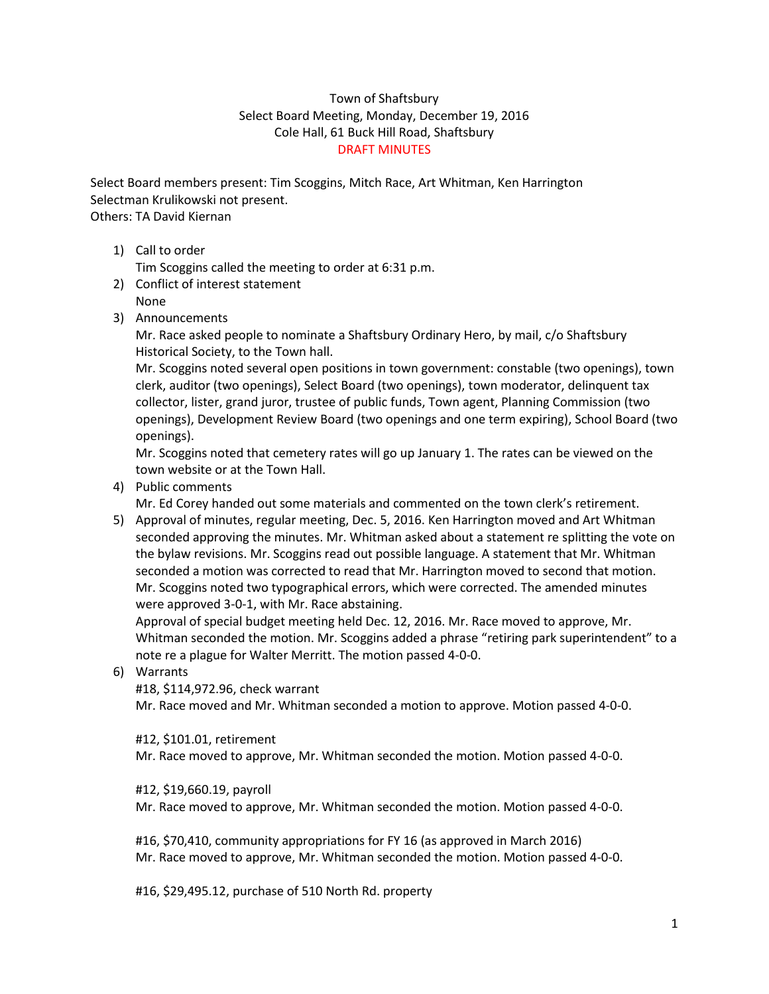## Town of Shaftsbury Select Board Meeting, Monday, December 19, 2016 Cole Hall, 61 Buck Hill Road, Shaftsbury DRAFT MINUTES

Select Board members present: Tim Scoggins, Mitch Race, Art Whitman, Ken Harrington Selectman Krulikowski not present. Others: TA David Kiernan

1) Call to order

Tim Scoggins called the meeting to order at 6:31 p.m.

- 2) Conflict of interest statement
- None
- 3) Announcements

Mr. Race asked people to nominate a Shaftsbury Ordinary Hero, by mail, c/o Shaftsbury Historical Society, to the Town hall.

Mr. Scoggins noted several open positions in town government: constable (two openings), town clerk, auditor (two openings), Select Board (two openings), town moderator, delinquent tax collector, lister, grand juror, trustee of public funds, Town agent, Planning Commission (two openings), Development Review Board (two openings and one term expiring), School Board (two openings).

Mr. Scoggins noted that cemetery rates will go up January 1. The rates can be viewed on the town website or at the Town Hall.

4) Public comments

Mr. Ed Corey handed out some materials and commented on the town clerk's retirement.

5) Approval of minutes, regular meeting, Dec. 5, 2016. Ken Harrington moved and Art Whitman seconded approving the minutes. Mr. Whitman asked about a statement re splitting the vote on the bylaw revisions. Mr. Scoggins read out possible language. A statement that Mr. Whitman seconded a motion was corrected to read that Mr. Harrington moved to second that motion. Mr. Scoggins noted two typographical errors, which were corrected. The amended minutes were approved 3-0-1, with Mr. Race abstaining.

Approval of special budget meeting held Dec. 12, 2016. Mr. Race moved to approve, Mr. Whitman seconded the motion. Mr. Scoggins added a phrase "retiring park superintendent" to a note re a plague for Walter Merritt. The motion passed 4-0-0.

6) Warrants

#18, \$114,972.96, check warrant

Mr. Race moved and Mr. Whitman seconded a motion to approve. Motion passed 4-0-0.

#12, \$101.01, retirement

Mr. Race moved to approve, Mr. Whitman seconded the motion. Motion passed 4-0-0.

#12, \$19,660.19, payroll

Mr. Race moved to approve, Mr. Whitman seconded the motion. Motion passed 4-0-0.

#16, \$70,410, community appropriations for FY 16 (as approved in March 2016) Mr. Race moved to approve, Mr. Whitman seconded the motion. Motion passed 4-0-0.

#16, \$29,495.12, purchase of 510 North Rd. property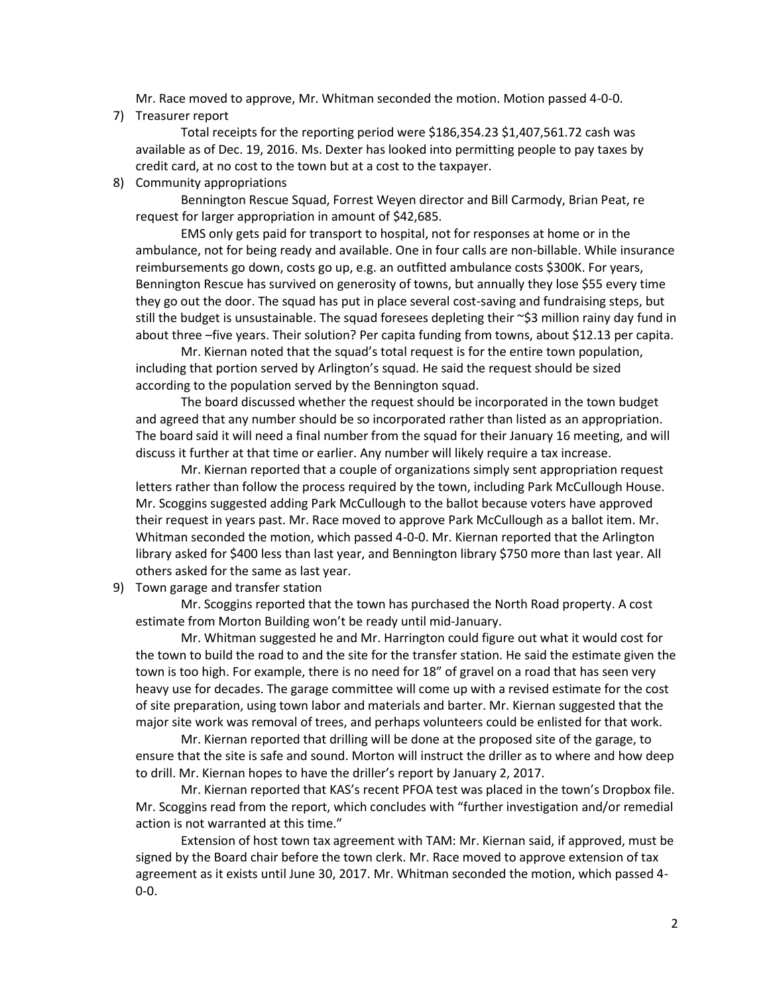Mr. Race moved to approve, Mr. Whitman seconded the motion. Motion passed 4-0-0.

7) Treasurer report

Total receipts for the reporting period were \$186,354.23 \$1,407,561.72 cash was available as of Dec. 19, 2016. Ms. Dexter has looked into permitting people to pay taxes by credit card, at no cost to the town but at a cost to the taxpayer.

8) Community appropriations

Bennington Rescue Squad, Forrest Weyen director and Bill Carmody, Brian Peat, re request for larger appropriation in amount of \$42,685.

EMS only gets paid for transport to hospital, not for responses at home or in the ambulance, not for being ready and available. One in four calls are non-billable. While insurance reimbursements go down, costs go up, e.g. an outfitted ambulance costs \$300K. For years, Bennington Rescue has survived on generosity of towns, but annually they lose \$55 every time they go out the door. The squad has put in place several cost-saving and fundraising steps, but still the budget is unsustainable. The squad foresees depleting their  $\sim$ \$3 million rainy day fund in about three –five years. Their solution? Per capita funding from towns, about \$12.13 per capita.

Mr. Kiernan noted that the squad's total request is for the entire town population, including that portion served by Arlington's squad. He said the request should be sized according to the population served by the Bennington squad.

The board discussed whether the request should be incorporated in the town budget and agreed that any number should be so incorporated rather than listed as an appropriation. The board said it will need a final number from the squad for their January 16 meeting, and will discuss it further at that time or earlier. Any number will likely require a tax increase.

Mr. Kiernan reported that a couple of organizations simply sent appropriation request letters rather than follow the process required by the town, including Park McCullough House. Mr. Scoggins suggested adding Park McCullough to the ballot because voters have approved their request in years past. Mr. Race moved to approve Park McCullough as a ballot item. Mr. Whitman seconded the motion, which passed 4-0-0. Mr. Kiernan reported that the Arlington library asked for \$400 less than last year, and Bennington library \$750 more than last year. All others asked for the same as last year.

9) Town garage and transfer station

Mr. Scoggins reported that the town has purchased the North Road property. A cost estimate from Morton Building won't be ready until mid-January.

Mr. Whitman suggested he and Mr. Harrington could figure out what it would cost for the town to build the road to and the site for the transfer station. He said the estimate given the town is too high. For example, there is no need for 18" of gravel on a road that has seen very heavy use for decades. The garage committee will come up with a revised estimate for the cost of site preparation, using town labor and materials and barter. Mr. Kiernan suggested that the major site work was removal of trees, and perhaps volunteers could be enlisted for that work.

Mr. Kiernan reported that drilling will be done at the proposed site of the garage, to ensure that the site is safe and sound. Morton will instruct the driller as to where and how deep to drill. Mr. Kiernan hopes to have the driller's report by January 2, 2017.

Mr. Kiernan reported that KAS's recent PFOA test was placed in the town's Dropbox file. Mr. Scoggins read from the report, which concludes with "further investigation and/or remedial action is not warranted at this time."

Extension of host town tax agreement with TAM: Mr. Kiernan said, if approved, must be signed by the Board chair before the town clerk. Mr. Race moved to approve extension of tax agreement as it exists until June 30, 2017. Mr. Whitman seconded the motion, which passed 4- 0-0.